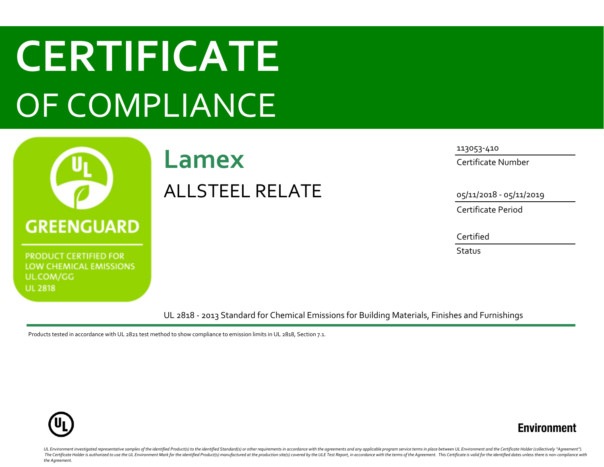## **CERTIFICATE** OF COMPLIANCE



**PRODUCT CERTIFIED FOR** LOW CHEMICAL EMISSIONS UL.COM/GG **UL 2818** 

## **Lamex** ALLSTEEL RELATE

113053-410 Certificate Number

05/11/2018 - 05/11/2019

Certificate Period

Certified

**Status** 

UL 2818 - 2013 Standard for Chemical Emissions for Building Materials, Finishes and Furnishings

Products tested in accordance with UL 2821 test method to show compliance to emission limits in UL 2818, Section 7.1.





UL Environment investigated representative samples of the identified Product(s) to the identified Standard(s) or other requirements in accordance with the agreements and any applicable program service terms in place betwee The Certificate Holder is authorized to use the UL Environment Mark for the identified Product(s) manufactured at the production site(s) covered by the ULE Test Report, in accordance with the terms of the Agreement. This C *the Agreement.*